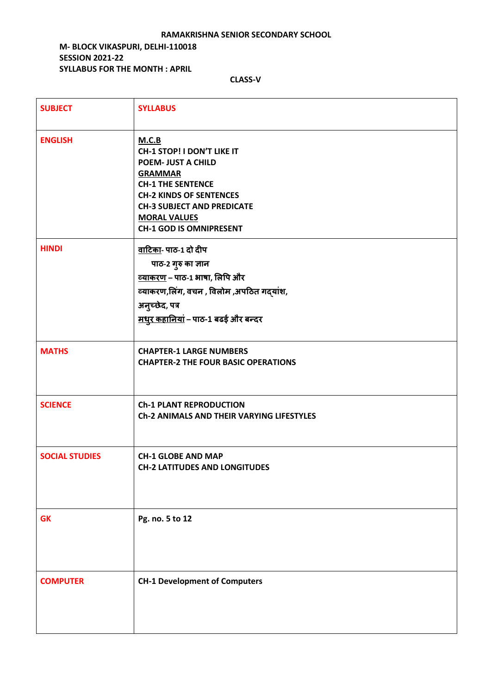#### **RAMAKRISHNA SENIOR SECONDARY SCHOOL**

### **M- BLOCK VIKASPURI, DELHI-110018 SESSION 2021-22 SYLLABUS FOR THE MONTH : APRIL**

| <b>SUBJECT</b>        | <b>SYLLABUS</b>                                                                                                                                                                                                                                |
|-----------------------|------------------------------------------------------------------------------------------------------------------------------------------------------------------------------------------------------------------------------------------------|
| <b>ENGLISH</b>        | M.C.B<br>CH-1 STOP! I DON'T LIKE IT<br><b>POEM- JUST A CHILD</b><br><b>GRAMMAR</b><br><b>CH-1 THE SENTENCE</b><br><b>CH-2 KINDS OF SENTENCES</b><br><b>CH-3 SUBJECT AND PREDICATE</b><br><b>MORAL VALUES</b><br><b>CH-1 GOD IS OMNIPRESENT</b> |
| <b>HINDI</b>          | वाटिका- पाठ-1 दो दीप<br>पाठ-2 गुरु का ज्ञान<br><u>व्याकरण</u> – पाठ-1 भाषा, लिपि और<br>व्याकरण,लिंग, वचन, विलोम,अपठित गद्यांश,<br>अनुच्छेद, पत्र<br><u>मधुर कहानियां</u> - पाठ-1 बढई और बन्दर                                                  |
| <b>MATHS</b>          | <b>CHAPTER-1 LARGE NUMBERS</b><br><b>CHAPTER-2 THE FOUR BASIC OPERATIONS</b>                                                                                                                                                                   |
| <b>SCIENCE</b>        | <b>Ch-1 PLANT REPRODUCTION</b><br><b>Ch-2 ANIMALS AND THEIR VARYING LIFESTYLES</b>                                                                                                                                                             |
| <b>SOCIAL STUDIES</b> | <b>CH-1 GLOBE AND MAP</b><br><b>CH-2 LATITUDES AND LONGITUDES</b>                                                                                                                                                                              |
| <b>GK</b>             | Pg. no. 5 to 12                                                                                                                                                                                                                                |
| <b>COMPUTER</b>       | <b>CH-1 Development of Computers</b>                                                                                                                                                                                                           |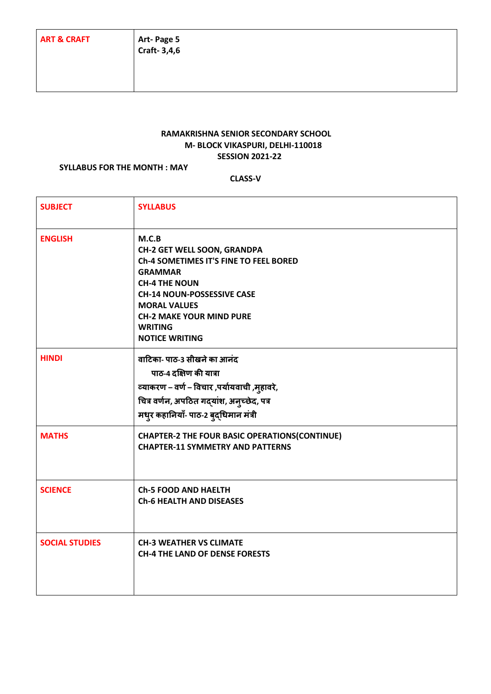## **RAMAKRISHNA SENIOR SECONDARY SCHOOL M- BLOCK VIKASPURI, DELHI-110018 SESSION 2021-22**

#### **SYLLABUS FOR THE MONTH : MAY**

| <b>SUBJECT</b>        | <b>SYLLABUS</b>                                                                                                                                                                                                                                                           |
|-----------------------|---------------------------------------------------------------------------------------------------------------------------------------------------------------------------------------------------------------------------------------------------------------------------|
| <b>ENGLISH</b>        | M.C.B<br><b>CH-2 GET WELL SOON, GRANDPA</b><br>Ch-4 SOMETIMES IT'S FINE TO FEEL BORED<br><b>GRAMMAR</b><br><b>CH-4 THE NOUN</b><br><b>CH-14 NOUN-POSSESSIVE CASE</b><br><b>MORAL VALUES</b><br><b>CH-2 MAKE YOUR MIND PURE</b><br><b>WRITING</b><br><b>NOTICE WRITING</b> |
| <b>HINDI</b>          | वाटिका- पाठ-3 सीखने का आनंद<br>पाठ-4 दक्षिण की यात्रा<br>व्याकरण – वर्ण – विचार ,पर्यायवाची ,मुहावरे,<br>चित्र वर्णन, अपठित गद्यांश, अनुच्छेद, पत्र<br>मधुर कहानियाँ- पाठ-2 बुद्धिमान मंत्री                                                                              |
| <b>MATHS</b>          | <b>CHAPTER-2 THE FOUR BASIC OPERATIONS(CONTINUE)</b><br><b>CHAPTER-11 SYMMETRY AND PATTERNS</b>                                                                                                                                                                           |
| <b>SCIENCE</b>        | <b>Ch-5 FOOD AND HAELTH</b><br><b>Ch-6 HEALTH AND DISEASES</b>                                                                                                                                                                                                            |
| <b>SOCIAL STUDIES</b> | <b>CH-3 WEATHER VS CLIMATE</b><br><b>CH-4 THE LAND OF DENSE FORESTS</b>                                                                                                                                                                                                   |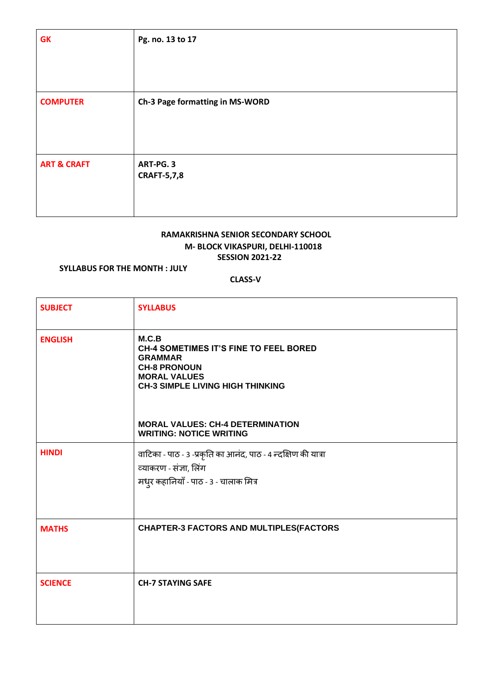| <b>GK</b>              | Pg. no. 13 to 17                |
|------------------------|---------------------------------|
| <b>COMPUTER</b>        | Ch-3 Page formatting in MS-WORD |
| <b>ART &amp; CRAFT</b> | ART-PG. 3                       |
|                        | <b>CRAFT-5,7,8</b>              |

## **RAMAKRISHNA SENIOR SECONDARY SCHOOL M- BLOCK VIKASPURI, DELHI-110018 SESSION 2021-22**

## **SYLLABUS FOR THE MONTH : JULY**

| <b>SUBJECT</b> | <b>SYLLABUS</b>                                                                                                                                                   |
|----------------|-------------------------------------------------------------------------------------------------------------------------------------------------------------------|
| <b>ENGLISH</b> | M.C.B<br><b>CH-4 SOMETIMES IT'S FINE TO FEEL BORED</b><br><b>GRAMMAR</b><br><b>CH-8 PRONOUN</b><br><b>MORAL VALUES</b><br><b>CH-3 SIMPLE LIVING HIGH THINKING</b> |
|                | <b>MORAL VALUES: CH-4 DETERMINATION</b><br><b>WRITING: NOTICE WRITING</b>                                                                                         |
| <b>HINDI</b>   | वाटिका - पाठ - 3 -प्रकृति का आनंद, पाठ - 4 न्दक्षिण की यात्रा<br>व्याकरण - संज्ञा, लिंग<br>मधुर कहानियाँ - पाठ - 3 - चालाक मित्र                                  |
| <b>MATHS</b>   | <b>CHAPTER-3 FACTORS AND MULTIPLES(FACTORS</b>                                                                                                                    |
| <b>SCIENCE</b> | <b>CH-7 STAYING SAFE</b>                                                                                                                                          |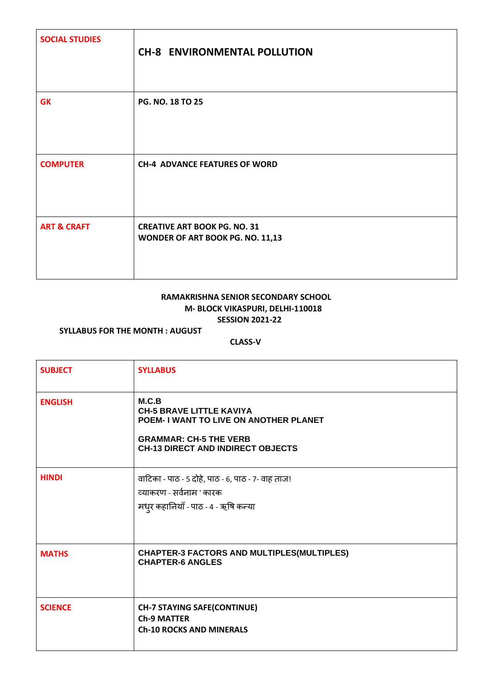| <b>SOCIAL STUDIES</b>  | <b>CH-8 ENVIRONMENTAL POLLUTION</b>                                     |
|------------------------|-------------------------------------------------------------------------|
| <b>GK</b>              | PG. NO. 18 TO 25                                                        |
| <b>COMPUTER</b>        | <b>CH-4 ADVANCE FEATURES OF WORD</b>                                    |
| <b>ART &amp; CRAFT</b> | <b>CREATIVE ART BOOK PG. NO. 31</b><br>WONDER OF ART BOOK PG. NO. 11,13 |

# **RAMAKRISHNA SENIOR SECONDARY SCHOOL M- BLOCK VIKASPURI, DELHI-110018 SESSION 2021-22**

**SYLLABUS FOR THE MONTH : AUGUST** 

| <b>SUBJECT</b> | <b>SYLLABUS</b>                                                                                                                                                 |
|----------------|-----------------------------------------------------------------------------------------------------------------------------------------------------------------|
| <b>ENGLISH</b> | M.C.B<br><b>CH-5 BRAVE LITTLE KAVIYA</b><br>POEM- I WANT TO LIVE ON ANOTHER PLANET<br><b>GRAMMAR: CH-5 THE VERB</b><br><b>CH-13 DIRECT AND INDIRECT OBJECTS</b> |
| <b>HINDI</b>   | वाटिका - पाठ - 5 दोहे, पाठ - 6, पाठ - 7- वाह ताज!<br>व्याकरण - सर्वनाम ' कारक<br>मध़्र कहानियाँ - पाठ - 4 - ऋषि कन्या                                           |
| <b>MATHS</b>   | <b>CHAPTER-3 FACTORS AND MULTIPLES(MULTIPLES)</b><br><b>CHAPTER-6 ANGLES</b>                                                                                    |
| <b>SCIENCE</b> | <b>CH-7 STAYING SAFE(CONTINUE)</b><br><b>Ch-9 MATTER</b><br><b>Ch-10 ROCKS AND MINERALS</b>                                                                     |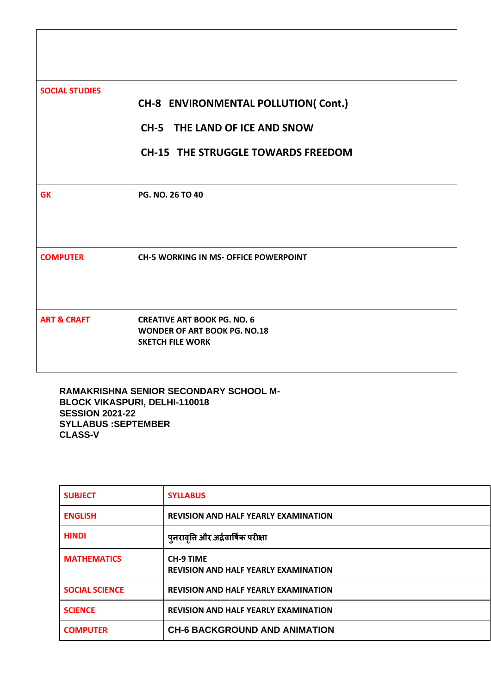| <b>SOCIAL STUDIES</b>  | CH-8 ENVIRONMENTAL POLLUTION( Cont.)                                                                 |
|------------------------|------------------------------------------------------------------------------------------------------|
|                        | CH-5 THE LAND OF ICE AND SNOW                                                                        |
|                        | <b>CH-15 THE STRUGGLE TOWARDS FREEDOM</b>                                                            |
| <b>GK</b>              | PG. NO. 26 TO 40                                                                                     |
| <b>COMPUTER</b>        | <b>CH-5 WORKING IN MS- OFFICE POWERPOINT</b>                                                         |
| <b>ART &amp; CRAFT</b> | <b>CREATIVE ART BOOK PG. NO. 6</b><br><b>WONDER OF ART BOOK PG. NO.18</b><br><b>SKETCH FILE WORK</b> |

**RAMAKRISHNA SENIOR SECONDARY SCHOOL M-BLOCK VIKASPURI, DELHI-110018 SESSION 2021-22 SYLLABUS :SEPTEMBER CLASS-V**

| <b>SUBJECT</b>        | <b>SYLLABUS</b>                                                 |
|-----------------------|-----------------------------------------------------------------|
| <b>ENGLISH</b>        | <b>REVISION AND HALF YEARLY EXAMINATION</b>                     |
| <b>HINDI</b>          | पुनरावृति और अर्द्रवार्षिक परीक्षा                              |
| <b>MATHEMATICS</b>    | <b>CH-9 TIME</b><br><b>REVISION AND HALF YEARLY EXAMINATION</b> |
| <b>SOCIAL SCIENCE</b> | <b>REVISION AND HALF YEARLY EXAMINATION</b>                     |
| <b>SCIENCE</b>        | <b>REVISION AND HALF YEARLY EXAMINATION</b>                     |
| <b>COMPUTER</b>       | <b>CH-6 BACKGROUND AND ANIMATION</b>                            |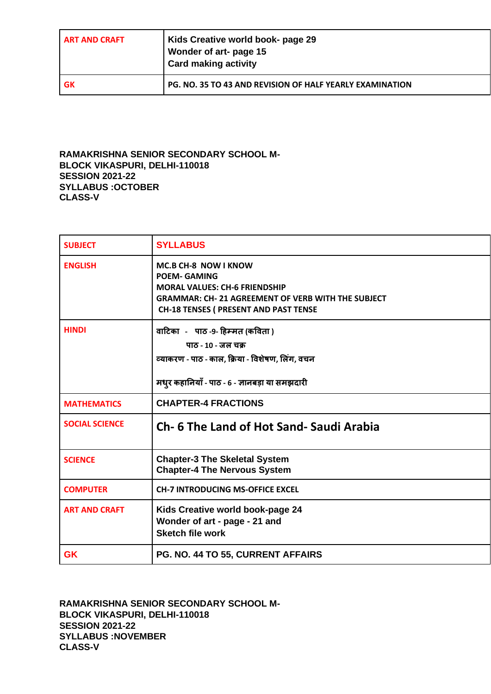| <b>ART AND CRAFT</b> | Kids Creative world book- page 29<br>Wonder of art- page 15<br>Card making activity |
|----------------------|-------------------------------------------------------------------------------------|
| l GK                 | <b>PG. NO. 35 TO 43 AND REVISION OF HALF YEARLY EXAMINATION</b>                     |

**RAMAKRISHNA SENIOR SECONDARY SCHOOL M-BLOCK VIKASPURI, DELHI-110018 SESSION 2021-22 SYLLABUS :OCTOBER CLASS-V**

| <b>SUBJECT</b>        | <b>SYLLABUS</b>                                                                                                                                                                                         |
|-----------------------|---------------------------------------------------------------------------------------------------------------------------------------------------------------------------------------------------------|
| <b>ENGLISH</b>        | <b>MC.B CH-8 NOW I KNOW</b><br><b>POEM- GAMING</b><br><b>MORAL VALUES: CH-6 FRIENDSHIP</b><br><b>GRAMMAR: CH- 21 AGREEMENT OF VERB WITH THE SUBJECT</b><br><b>CH-18 TENSES ( PRESENT AND PAST TENSE</b> |
| <b>HINDI</b>          | वाटिका - पाठ -9- हिम्मत (कविता )<br>पाठ - 10 - जल चक्र<br>व्याकरण - पाठ - काल, क्रिया - विशेषण, लिंग, वचन<br>मधुर कहानियाँ - पाठ - 6 - ज्ञानबड़ा या समझदारी                                             |
| <b>MATHEMATICS</b>    | <b>CHAPTER-4 FRACTIONS</b>                                                                                                                                                                              |
| <b>SOCIAL SCIENCE</b> | Ch- 6 The Land of Hot Sand- Saudi Arabia                                                                                                                                                                |
| <b>SCIENCE</b>        | <b>Chapter-3 The Skeletal System</b><br><b>Chapter-4 The Nervous System</b>                                                                                                                             |
| <b>COMPUTER</b>       | <b>CH-7 INTRODUCING MS-OFFICE EXCEL</b>                                                                                                                                                                 |
| <b>ART AND CRAFT</b>  | Kids Creative world book-page 24<br>Wonder of art - page - 21 and<br><b>Sketch file work</b>                                                                                                            |
| <b>GK</b>             | PG. NO. 44 TO 55, CURRENT AFFAIRS                                                                                                                                                                       |

**RAMAKRISHNA SENIOR SECONDARY SCHOOL M-BLOCK VIKASPURI, DELHI-110018 SESSION 2021-22 SYLLABUS :NOVEMBER CLASS-V**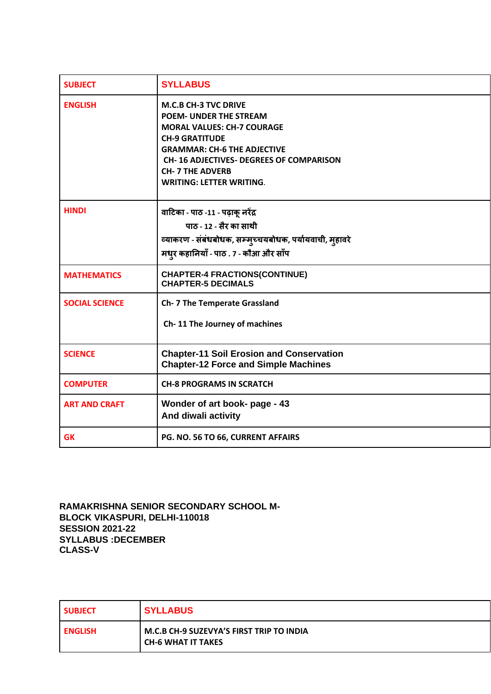| <b>SUBJECT</b>        | <b>SYLLABUS</b>                                                                                                                                                                                                                                                                 |
|-----------------------|---------------------------------------------------------------------------------------------------------------------------------------------------------------------------------------------------------------------------------------------------------------------------------|
| <b>ENGLISH</b>        | <b>M.C.B CH-3 TVC DRIVE</b><br><b>POEM- UNDER THE STREAM</b><br><b>MORAL VALUES: CH-7 COURAGE</b><br><b>CH-9 GRATITUDE</b><br><b>GRAMMAR: CH-6 THE ADJECTIVE</b><br><b>CH-16 ADJECTIVES- DEGREES OF COMPARISON</b><br><b>CH-7 THE ADVERB</b><br><b>WRITING: LETTER WRITING.</b> |
| <b>HINDI</b>          | वाटिका - पाठ -11 - पढ़ाकू नरेंद्र<br>पाठ - 12 - सैर का साथी<br>व्याकरण - संबंधबोधक, सम्मुच्चयबोधक, पर्यायवाची, मुहावरे<br>मधुर कहानियाँ - पाठ . 7 - कौआ और साँप                                                                                                                 |
| <b>MATHEMATICS</b>    | <b>CHAPTER-4 FRACTIONS(CONTINUE)</b><br><b>CHAPTER-5 DECIMALS</b>                                                                                                                                                                                                               |
| <b>SOCIAL SCIENCE</b> | <b>Ch- 7 The Temperate Grassland</b><br>Ch-11 The Journey of machines                                                                                                                                                                                                           |
| <b>SCIENCE</b>        | <b>Chapter-11 Soil Erosion and Conservation</b><br><b>Chapter-12 Force and Simple Machines</b>                                                                                                                                                                                  |
| <b>COMPUTER</b>       | <b>CH-8 PROGRAMS IN SCRATCH</b>                                                                                                                                                                                                                                                 |
| <b>ART AND CRAFT</b>  | Wonder of art book- page - 43<br>And diwali activity                                                                                                                                                                                                                            |
| <b>GK</b>             | PG. NO. 56 TO 66, CURRENT AFFAIRS                                                                                                                                                                                                                                               |

**RAMAKRISHNA SENIOR SECONDARY SCHOOL M-BLOCK VIKASPURI, DELHI-110018 SESSION 2021-22 SYLLABUS :DECEMBER CLASS-V**

| <b>SUBJECT</b> | <b>SYLLABUS</b>                                                       |
|----------------|-----------------------------------------------------------------------|
| <b>ENGLISH</b> | M.C.B CH-9 SUZEVYA'S FIRST TRIP TO INDIA<br><b>CH-6 WHAT IT TAKES</b> |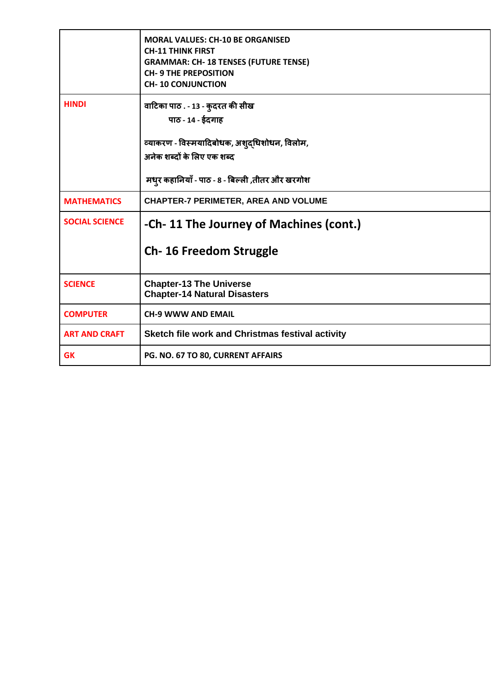|                       | <b>MORAL VALUES: CH-10 BE ORGANISED</b><br><b>CH-11 THINK FIRST</b><br><b>GRAMMAR: CH- 18 TENSES (FUTURE TENSE)</b><br><b>CH-9 THE PREPOSITION</b><br><b>CH-10 CONJUNCTION</b> |
|-----------------------|--------------------------------------------------------------------------------------------------------------------------------------------------------------------------------|
| <b>HINDI</b>          | वाटिका पाठ . - 13 - क् <b>दरत की सीख</b><br>पाठ - 14 - ईदगाह<br>व्याकरण - विस्मयादिबोधक, अशुद्धिशोधन, विलोम,<br>अनेक शब्दों के लिए एक शब्द                                     |
|                       | मधुर कहानियाँ - पाठ - 8 - बिल्ली ,तीतर और खरगोश                                                                                                                                |
| <b>MATHEMATICS</b>    | <b>CHAPTER-7 PERIMETER, AREA AND VOLUME</b>                                                                                                                                    |
| <b>SOCIAL SCIENCE</b> | -Ch- 11 The Journey of Machines (cont.)                                                                                                                                        |
|                       | <b>Ch-16 Freedom Struggle</b>                                                                                                                                                  |
| <b>SCIENCE</b>        | <b>Chapter-13 The Universe</b><br><b>Chapter-14 Natural Disasters</b>                                                                                                          |
| <b>COMPUTER</b>       | <b>CH-9 WWW AND EMAIL</b>                                                                                                                                                      |
| <b>ART AND CRAFT</b>  | Sketch file work and Christmas festival activity                                                                                                                               |
| <b>GK</b>             | PG. NO. 67 TO 80, CURRENT AFFAIRS                                                                                                                                              |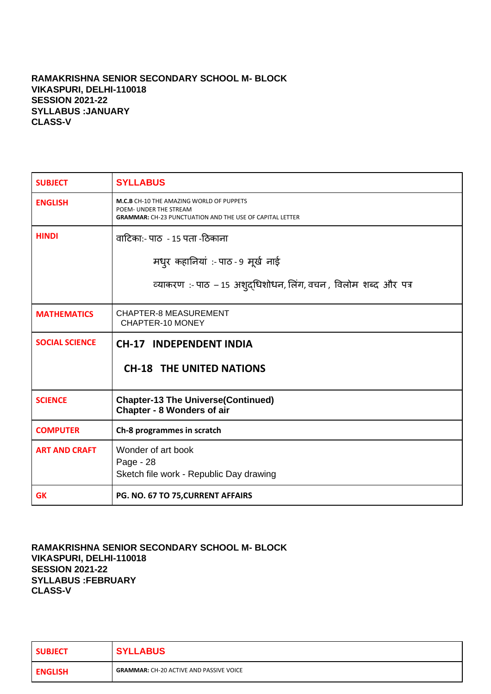## **RAMAKRISHNA SENIOR SECONDARY SCHOOL M- BLOCK VIKASPURI, DELHI-110018 SESSION 2021-22 SYLLABUS :JANUARY CLASS-V**

| <b>SUBJECT</b>        | <b>SYLLABUS</b>                                                                                                                              |
|-----------------------|----------------------------------------------------------------------------------------------------------------------------------------------|
| <b>ENGLISH</b>        | <b>M.C.B</b> CH-10 THE AMAZING WORLD OF PUPPETS<br>POEM- UNDER THE STREAM<br><b>GRAMMAR:</b> CH-23 PUNCTUATION AND THE USE OF CAPITAL LETTER |
| <b>HINDI</b>          | वाटिकाः- पाठ  - 15 पता -ठिकाना                                                                                                               |
|                       | मधुर कहानियां :- पाठ - 9 मूर्ख नाई                                                                                                           |
|                       | व्याकरण:- पाठ - 15 अशुद्धिशोधन, लिंग, वचन, विलोम शब्द और पत्र                                                                                |
| <b>MATHEMATICS</b>    | <b>CHAPTER-8 MEASUREMENT</b><br>CHAPTER-10 MONEY                                                                                             |
| <b>SOCIAL SCIENCE</b> | <b>CH-17 INDEPENDENT INDIA</b>                                                                                                               |
|                       | <b>CH-18 THE UNITED NATIONS</b>                                                                                                              |
| <b>SCIENCE</b>        | <b>Chapter-13 The Universe(Continued)</b><br><b>Chapter - 8 Wonders of air</b>                                                               |
| <b>COMPUTER</b>       | Ch-8 programmes in scratch                                                                                                                   |
| <b>ART AND CRAFT</b>  | Wonder of art book<br>Page - 28<br>Sketch file work - Republic Day drawing                                                                   |
| <b>GK</b>             | PG. NO. 67 TO 75, CURRENT AFFAIRS                                                                                                            |

**RAMAKRISHNA SENIOR SECONDARY SCHOOL M- BLOCK VIKASPURI, DELHI-110018 SESSION 2021-22 SYLLABUS :FEBRUARY CLASS-V**

| <b>SUBJECT</b> | <b>SYLLABUS</b>                                |
|----------------|------------------------------------------------|
| <b>ENGLISH</b> | <b>GRAMMAR: CH-20 ACTIVE AND PASSIVE VOICE</b> |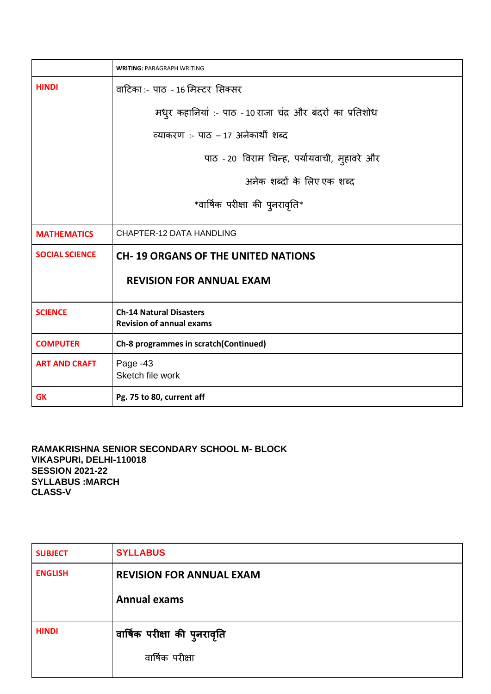|                       | <b>WRITING: PARAGRAPH WRITING</b>                                 |
|-----------------------|-------------------------------------------------------------------|
| <b>HINDI</b>          | वाटिका :- पाठ - 16 मिस्टर सिक्सर                                  |
|                       | मधुर कहानियां :- पाठ - 10 राजा चंद्र और बंदरों का प्रतिशोध        |
|                       | व्याकरण :- पाठ - 17 अनेकार्थी शब्द                                |
|                       | पाठ - 20 विराम चिन्ह, पर्यायवाची, मुहावरे और                      |
|                       | अनेक शब्दों के लिए एक शब्द                                        |
|                       | *वार्षिक परीक्षा की पुनरावृति*                                    |
| <b>MATHEMATICS</b>    | CHAPTER-12 DATA HANDLING                                          |
| <b>SOCIAL SCIENCE</b> | <b>CH-19 ORGANS OF THE UNITED NATIONS</b>                         |
|                       | <b>REVISION FOR ANNUAL EXAM</b>                                   |
| <b>SCIENCE</b>        | <b>Ch-14 Natural Disasters</b><br><b>Revision of annual exams</b> |
| <b>COMPUTER</b>       | Ch-8 programmes in scratch(Continued)                             |
| <b>ART AND CRAFT</b>  | Page -43<br>Sketch file work                                      |
| <b>GK</b>             | Pg. 75 to 80, current aff                                         |

**RAMAKRISHNA SENIOR SECONDARY SCHOOL M- BLOCK VIKASPURI, DELHI-110018 SESSION 2021-22 SYLLABUS :MARCH CLASS-V**

| <b>SUBJECT</b> | <b>SYLLABUS</b>                                 |
|----------------|-------------------------------------------------|
| <b>ENGLISH</b> | <b>REVISION FOR ANNUAL EXAM</b>                 |
|                | <b>Annual exams</b>                             |
| <b>HINDI</b>   | वार्षिक परीक्षा की पुनरावृति<br>वार्षिक परीक्षा |